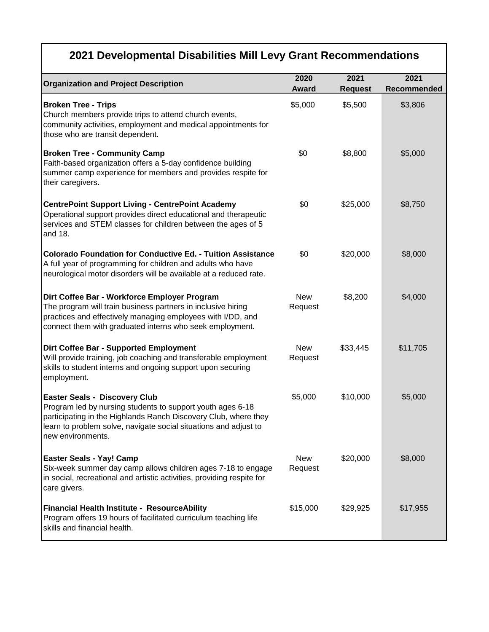|                                                                                                                                                                                                                                                                | 2020                  | 2021           | 2021        |
|----------------------------------------------------------------------------------------------------------------------------------------------------------------------------------------------------------------------------------------------------------------|-----------------------|----------------|-------------|
| <b>Organization and Project Description</b>                                                                                                                                                                                                                    | <b>Award</b>          | <b>Request</b> | Recommended |
| <b>Broken Tree - Trips</b><br>Church members provide trips to attend church events,<br>community activities, employment and medical appointments for<br>those who are transit dependent.                                                                       | \$5,000               | \$5,500        | \$3,806     |
| <b>Broken Tree - Community Camp</b><br>Faith-based organization offers a 5-day confidence building<br>summer camp experience for members and provides respite for<br>their caregivers.                                                                         | \$0                   | \$8,800        | \$5,000     |
| <b>CentrePoint Support Living - CentrePoint Academy</b><br>Operational support provides direct educational and therapeutic<br>services and STEM classes for children between the ages of 5<br>and 18.                                                          | \$0                   | \$25,000       | \$8,750     |
| <b>Colorado Foundation for Conductive Ed. - Tuition Assistance</b><br>A full year of programming for children and adults who have<br>neurological motor disorders will be available at a reduced rate.                                                         | \$0                   | \$20,000       | \$8,000     |
| Dirt Coffee Bar - Workforce Employer Program<br>The program will train business partners in inclusive hiring<br>practices and effectively managing employees with I/DD, and<br>connect them with graduated interns who seek employment.                        | <b>New</b><br>Request | \$8,200        | \$4,000     |
| Dirt Coffee Bar - Supported Employment<br>Will provide training, job coaching and transferable employment<br>skills to student interns and ongoing support upon securing<br>employment.                                                                        | <b>New</b><br>Request | \$33,445       | \$11,705    |
| <b>Easter Seals - Discovery Club</b><br>Program led by nursing students to support youth ages 6-18<br>participating in the Highlands Ranch Discovery Club, where they<br>learn to problem solve, navigate social situations and adjust to<br>new environments. | \$5,000               | \$10,000       | \$5,000     |
| <b>Easter Seals - Yay! Camp</b><br>Six-week summer day camp allows children ages 7-18 to engage<br>in social, recreational and artistic activities, providing respite for<br>care givers.                                                                      | <b>New</b><br>Request | \$20,000       | \$8,000     |
| Financial Health Institute - ResourceAbility<br>Program offers 19 hours of facilitated curriculum teaching life<br>skills and financial health.                                                                                                                | \$15,000              | \$29,925       | \$17,955    |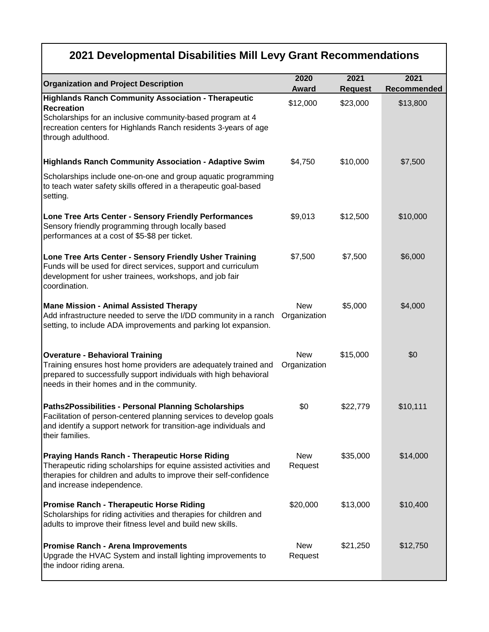| <b>Organization and Project Description</b>                                                                                                                                                                                     | 2020                       | 2021           | 2021        |
|---------------------------------------------------------------------------------------------------------------------------------------------------------------------------------------------------------------------------------|----------------------------|----------------|-------------|
| <b>Highlands Ranch Community Association - Therapeutic</b>                                                                                                                                                                      | <b>Award</b>               | <b>Request</b> | Recommended |
| <b>Recreation</b><br>Scholarships for an inclusive community-based program at 4<br>recreation centers for Highlands Ranch residents 3-years of age<br>through adulthood.                                                        | \$12,000                   | \$23,000       | \$13,800    |
| Highlands Ranch Community Association - Adaptive Swim                                                                                                                                                                           | \$4,750                    | \$10,000       | \$7,500     |
| Scholarships include one-on-one and group aquatic programming<br>to teach water safety skills offered in a therapeutic goal-based<br>setting.                                                                                   |                            |                |             |
| Lone Tree Arts Center - Sensory Friendly Performances<br>Sensory friendly programming through locally based<br>performances at a cost of \$5-\$8 per ticket.                                                                    | \$9,013                    | \$12,500       | \$10,000    |
| Lone Tree Arts Center - Sensory Friendly Usher Training<br>Funds will be used for direct services, support and curriculum<br>development for usher trainees, workshops, and job fair<br>coordination.                           | \$7,500                    | \$7,500        | \$6,000     |
| <b>Mane Mission - Animal Assisted Therapy</b><br>Add infrastructure needed to serve the I/DD community in a ranch Organization<br>setting, to include ADA improvements and parking lot expansion.                               | <b>New</b>                 | \$5,000        | \$4,000     |
| <b>Overature - Behavioral Training</b><br>Training ensures host home providers are adequately trained and<br>prepared to successfully support individuals with high behavioral<br>needs in their homes and in the community.    | <b>New</b><br>Organization | \$15,000       | \$0         |
| Paths2Possibilities - Personal Planning Scholarships<br>Facilitation of person-centered planning services to develop goals<br>and identify a support network for transition-age individuals and<br>their families.              | \$0                        | \$22,779       | \$10,111    |
| <b>Praying Hands Ranch - Therapeutic Horse Riding</b><br>Therapeutic riding scholarships for equine assisted activities and<br>therapies for children and adults to improve their self-confidence<br>and increase independence. | <b>New</b><br>Request      | \$35,000       | \$14,000    |
| <b>Promise Ranch - Therapeutic Horse Riding</b><br>Scholarships for riding activities and therapies for children and<br>adults to improve their fitness level and build new skills.                                             | \$20,000                   | \$13,000       | \$10,400    |
| <b>Promise Ranch - Arena Improvements</b><br>Upgrade the HVAC System and install lighting improvements to<br>the indoor riding arena.                                                                                           | <b>New</b><br>Request      | \$21,250       | \$12,750    |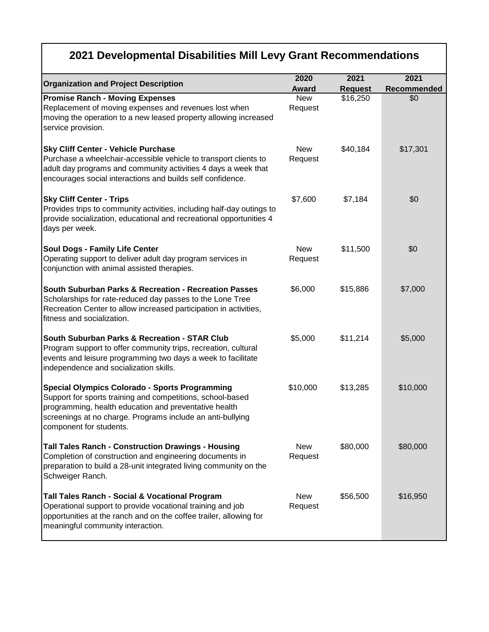|                                                                                                                                                                                                                                                                       | 2020                  | 2021           | 2021        |
|-----------------------------------------------------------------------------------------------------------------------------------------------------------------------------------------------------------------------------------------------------------------------|-----------------------|----------------|-------------|
| <b>Organization and Project Description</b>                                                                                                                                                                                                                           | <b>Award</b>          | <b>Request</b> | Recommended |
| <b>Promise Ranch - Moving Expenses</b><br>Replacement of moving expenses and revenues lost when<br>moving the operation to a new leased property allowing increased<br>service provision.                                                                             | <b>New</b><br>Request | \$16,250       | \$0         |
| <b>Sky Cliff Center - Vehicle Purchase</b><br>Purchase a wheelchair-accessible vehicle to transport clients to<br>adult day programs and community activities 4 days a week that<br>encourages social interactions and builds self confidence.                        | <b>New</b><br>Request | \$40,184       | \$17,301    |
| <b>Sky Cliff Center - Trips</b><br>Provides trips to community activities, including half-day outings to<br>provide socialization, educational and recreational opportunities 4<br>days per week.                                                                     | \$7,600               | \$7,184        | \$0         |
| <b>Soul Dogs - Family Life Center</b><br>Operating support to deliver adult day program services in<br>conjunction with animal assisted therapies.                                                                                                                    | <b>New</b><br>Request | \$11,500       | \$0         |
| South Suburban Parks & Recreation - Recreation Passes<br>Scholarships for rate-reduced day passes to the Lone Tree<br>Recreation Center to allow increased participation in activities,<br>fitness and socialization.                                                 | \$6,000               | \$15,886       | \$7,000     |
| South Suburban Parks & Recreation - STAR Club<br>Program support to offer community trips, recreation, cultural<br>events and leisure programming two days a week to facilitate<br>independence and socialization skills.                                             | \$5,000               | \$11,214       | \$5,000     |
| <b>Special Olympics Colorado - Sports Programming</b><br>Support for sports training and competitions, school-based<br>programming, health education and preventative health<br>screenings at no charge. Programs include an anti-bullying<br>component for students. | \$10,000              | \$13,285       | \$10,000    |
| <b>Tall Tales Ranch - Construction Drawings - Housing</b><br>Completion of construction and engineering documents in<br>preparation to build a 28-unit integrated living community on the<br>Schweiger Ranch.                                                         | <b>New</b><br>Request | \$80,000       | \$80,000    |
| Tall Tales Ranch - Social & Vocational Program<br>Operational support to provide vocational training and job<br>opportunities at the ranch and on the coffee trailer, allowing for<br>meaningful community interaction.                                               | <b>New</b><br>Request | \$56,500       | \$16,950    |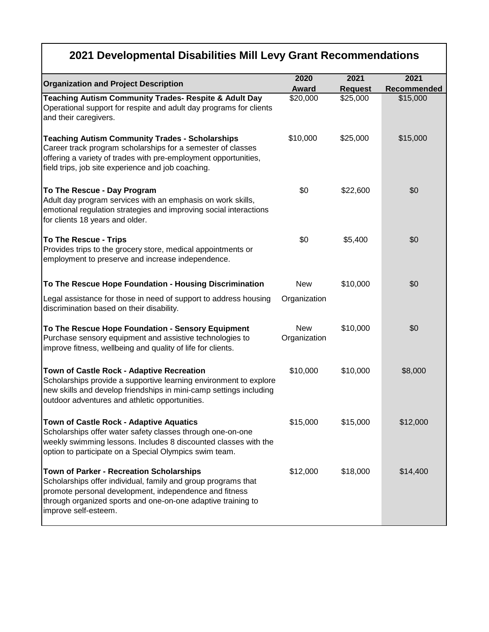|                                                                                                                                                                                                                                                                    | 2020                       | 2021           | 2021        |
|--------------------------------------------------------------------------------------------------------------------------------------------------------------------------------------------------------------------------------------------------------------------|----------------------------|----------------|-------------|
| <b>Organization and Project Description</b>                                                                                                                                                                                                                        | <b>Award</b>               | <b>Request</b> | Recommended |
| Teaching Autism Community Trades- Respite & Adult Day<br>Operational support for respite and adult day programs for clients<br>and their caregivers.                                                                                                               | \$20,000                   | \$25,000       | \$15,000    |
| <b>Teaching Autism Community Trades - Scholarships</b><br>Career track program scholarships for a semester of classes<br>offering a variety of trades with pre-employment opportunities,<br>field trips, job site experience and job coaching.                     | \$10,000                   | \$25,000       | \$15,000    |
| To The Rescue - Day Program<br>Adult day program services with an emphasis on work skills,<br>emotional regulation strategies and improving social interactions<br>for clients 18 years and older.                                                                 | \$0                        | \$22,600       | \$0         |
| <b>To The Rescue - Trips</b><br>Provides trips to the grocery store, medical appointments or<br>employment to preserve and increase independence.                                                                                                                  | \$0                        | \$5,400        | \$0         |
| To The Rescue Hope Foundation - Housing Discrimination                                                                                                                                                                                                             | <b>New</b>                 | \$10,000       | \$0         |
| Legal assistance for those in need of support to address housing<br>discrimination based on their disability.                                                                                                                                                      | Organization               |                |             |
| To The Rescue Hope Foundation - Sensory Equipment<br>Purchase sensory equipment and assistive technologies to<br>improve fitness, wellbeing and quality of life for clients.                                                                                       | <b>New</b><br>Organization | \$10,000       | \$0         |
| Town of Castle Rock - Adaptive Recreation<br>Scholarships provide a supportive learning environment to explore<br>new skills and develop friendships in mini-camp settings including<br>outdoor adventures and athletic opportunities.                             | \$10,000                   | \$10,000       | \$8,000     |
| Town of Castle Rock - Adaptive Aquatics<br>Scholarships offer water safety classes through one-on-one<br>weekly swimming lessons. Includes 8 discounted classes with the<br>option to participate on a Special Olympics swim team.                                 | \$15,000                   | \$15,000       | \$12,000    |
| <b>Town of Parker - Recreation Scholarships</b><br>Scholarships offer individual, family and group programs that<br>promote personal development, independence and fitness<br>through organized sports and one-on-one adaptive training to<br>improve self-esteem. | \$12,000                   | \$18,000       | \$14,400    |